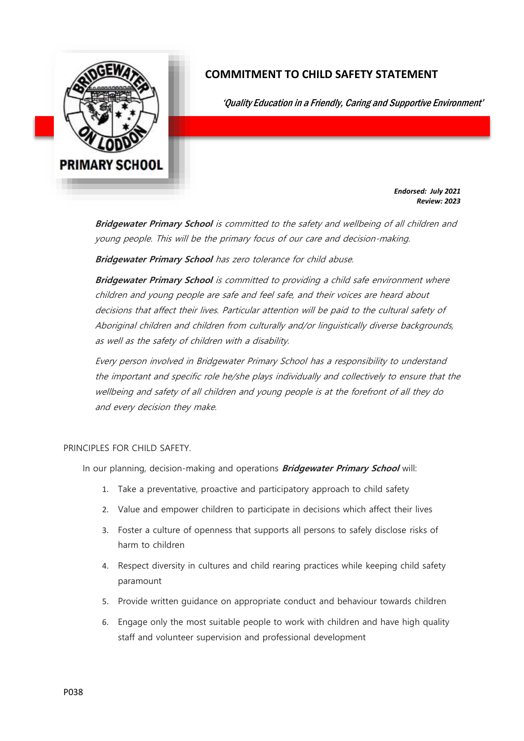

## **COMMITMENT TO CHILD SAFETY STATEMENT**

'Quality Education in a Friendly, Caring and Supportive Environment'

*Endorsed: July 2021 Review: 2023*

**Bridgewater Primary School** is committed to the safety and wellbeing of all children and young people. This will be the primary focus of our care and decision-making.

**Bridgewater Primary School** has zero tolerance for child abuse.

**Bridgewater Primary School** is committed to providing a child safe environment where children and young people are safe and feel safe, and their voices are heard about decisions that affect their lives. Particular attention will be paid to the cultural safety of Aboriginal children and children from culturally and/or linguistically diverse backgrounds, as well as the safety of children with a disability.

Every person involved in Bridgewater Primary School has a responsibility to understand the important and specific role he/she plays individually and collectively to ensure that the wellbeing and safety of all children and young people is at the forefront of all they do and every decision they make.

## PRINCIPLES FOR CHILD SAFETY.

In our planning, decision-making and operations **Bridgewater Primary School** will:

- 1. Take a preventative, proactive and participatory approach to child safety
- 2. Value and empower children to participate in decisions which affect their lives
- 3. Foster a culture of openness that supports all persons to safely disclose risks of harm to children
- 4. Respect diversity in cultures and child rearing practices while keeping child safety paramount
- 5. Provide written guidance on appropriate conduct and behaviour towards children
- 6. Engage only the most suitable people to work with children and have high quality staff and volunteer supervision and professional development